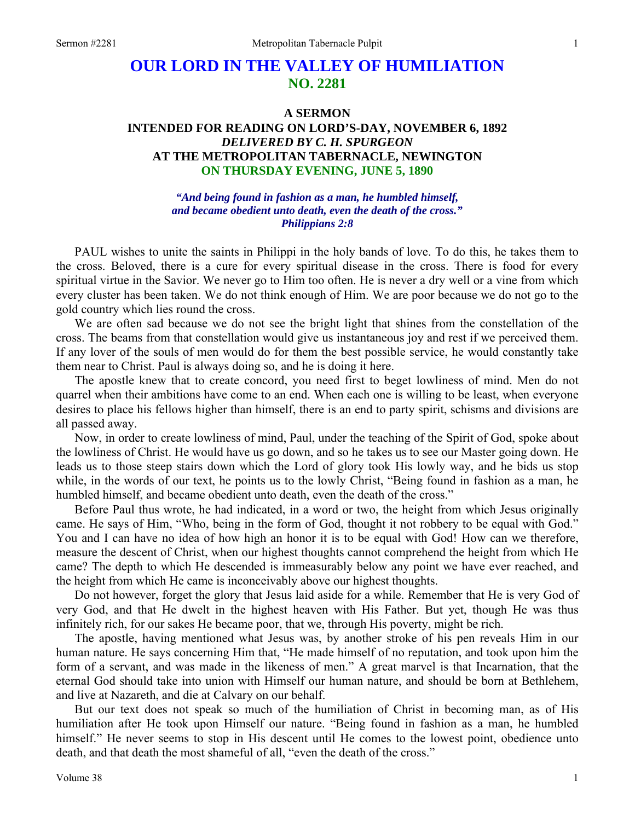# **OUR LORD IN THE VALLEY OF HUMILIATION NO. 2281**

### **A SERMON INTENDED FOR READING ON LORD'S-DAY, NOVEMBER 6, 1892**  *DELIVERED BY C. H. SPURGEON*  **AT THE METROPOLITAN TABERNACLE, NEWINGTON ON THURSDAY EVENING, JUNE 5, 1890**

*"And being found in fashion as a man, he humbled himself, and became obedient unto death, even the death of the cross." Philippians 2:8* 

PAUL wishes to unite the saints in Philippi in the holy bands of love. To do this, he takes them to the cross. Beloved, there is a cure for every spiritual disease in the cross. There is food for every spiritual virtue in the Savior. We never go to Him too often. He is never a dry well or a vine from which every cluster has been taken. We do not think enough of Him. We are poor because we do not go to the gold country which lies round the cross.

We are often sad because we do not see the bright light that shines from the constellation of the cross. The beams from that constellation would give us instantaneous joy and rest if we perceived them. If any lover of the souls of men would do for them the best possible service, he would constantly take them near to Christ. Paul is always doing so, and he is doing it here.

The apostle knew that to create concord, you need first to beget lowliness of mind. Men do not quarrel when their ambitions have come to an end. When each one is willing to be least, when everyone desires to place his fellows higher than himself, there is an end to party spirit, schisms and divisions are all passed away.

Now, in order to create lowliness of mind, Paul, under the teaching of the Spirit of God, spoke about the lowliness of Christ. He would have us go down, and so he takes us to see our Master going down. He leads us to those steep stairs down which the Lord of glory took His lowly way, and he bids us stop while, in the words of our text, he points us to the lowly Christ, "Being found in fashion as a man, he humbled himself, and became obedient unto death, even the death of the cross."

Before Paul thus wrote, he had indicated, in a word or two, the height from which Jesus originally came. He says of Him, "Who, being in the form of God, thought it not robbery to be equal with God." You and I can have no idea of how high an honor it is to be equal with God! How can we therefore, measure the descent of Christ, when our highest thoughts cannot comprehend the height from which He came? The depth to which He descended is immeasurably below any point we have ever reached, and the height from which He came is inconceivably above our highest thoughts.

Do not however, forget the glory that Jesus laid aside for a while. Remember that He is very God of very God, and that He dwelt in the highest heaven with His Father. But yet, though He was thus infinitely rich, for our sakes He became poor, that we, through His poverty, might be rich.

The apostle, having mentioned what Jesus was, by another stroke of his pen reveals Him in our human nature. He says concerning Him that, "He made himself of no reputation, and took upon him the form of a servant, and was made in the likeness of men." A great marvel is that Incarnation, that the eternal God should take into union with Himself our human nature, and should be born at Bethlehem, and live at Nazareth, and die at Calvary on our behalf.

But our text does not speak so much of the humiliation of Christ in becoming man, as of His humiliation after He took upon Himself our nature. "Being found in fashion as a man, he humbled himself." He never seems to stop in His descent until He comes to the lowest point, obedience unto death, and that death the most shameful of all, "even the death of the cross."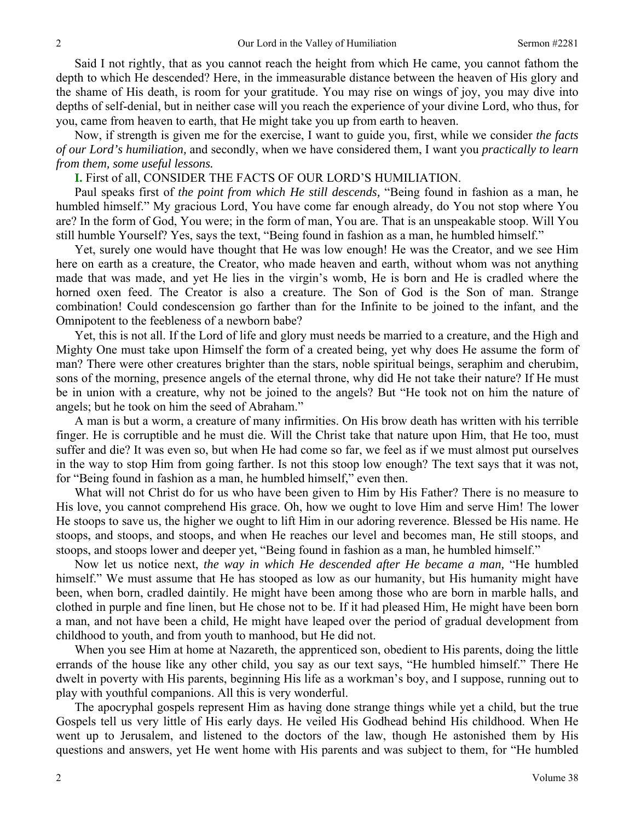Said I not rightly, that as you cannot reach the height from which He came, you cannot fathom the depth to which He descended? Here, in the immeasurable distance between the heaven of His glory and the shame of His death, is room for your gratitude. You may rise on wings of joy, you may dive into depths of self-denial, but in neither case will you reach the experience of your divine Lord, who thus, for you, came from heaven to earth, that He might take you up from earth to heaven.

Now, if strength is given me for the exercise, I want to guide you, first, while we consider *the facts of our Lord's humiliation,* and secondly, when we have considered them, I want you *practically to learn from them, some useful lessons.* 

#### **I.** First of all, CONSIDER THE FACTS OF OUR LORD'S HUMILIATION.

Paul speaks first of *the point from which He still descends,* "Being found in fashion as a man, he humbled himself." My gracious Lord, You have come far enough already, do You not stop where You are? In the form of God, You were; in the form of man, You are. That is an unspeakable stoop. Will You still humble Yourself? Yes, says the text, "Being found in fashion as a man, he humbled himself."

Yet, surely one would have thought that He was low enough! He was the Creator, and we see Him here on earth as a creature, the Creator, who made heaven and earth, without whom was not anything made that was made, and yet He lies in the virgin's womb, He is born and He is cradled where the horned oxen feed. The Creator is also a creature. The Son of God is the Son of man. Strange combination! Could condescension go farther than for the Infinite to be joined to the infant, and the Omnipotent to the feebleness of a newborn babe?

Yet, this is not all. If the Lord of life and glory must needs be married to a creature, and the High and Mighty One must take upon Himself the form of a created being, yet why does He assume the form of man? There were other creatures brighter than the stars, noble spiritual beings, seraphim and cherubim, sons of the morning, presence angels of the eternal throne, why did He not take their nature? If He must be in union with a creature, why not be joined to the angels? But "He took not on him the nature of angels; but he took on him the seed of Abraham."

A man is but a worm, a creature of many infirmities. On His brow death has written with his terrible finger. He is corruptible and he must die. Will the Christ take that nature upon Him, that He too, must suffer and die? It was even so, but when He had come so far, we feel as if we must almost put ourselves in the way to stop Him from going farther. Is not this stoop low enough? The text says that it was not, for "Being found in fashion as a man, he humbled himself," even then.

What will not Christ do for us who have been given to Him by His Father? There is no measure to His love, you cannot comprehend His grace. Oh, how we ought to love Him and serve Him! The lower He stoops to save us, the higher we ought to lift Him in our adoring reverence. Blessed be His name. He stoops, and stoops, and stoops, and when He reaches our level and becomes man, He still stoops, and stoops, and stoops lower and deeper yet, "Being found in fashion as a man, he humbled himself."

Now let us notice next, *the way in which He descended after He became a man,* "He humbled himself." We must assume that He has stooped as low as our humanity, but His humanity might have been, when born, cradled daintily. He might have been among those who are born in marble halls, and clothed in purple and fine linen, but He chose not to be. If it had pleased Him, He might have been born a man, and not have been a child, He might have leaped over the period of gradual development from childhood to youth, and from youth to manhood, but He did not.

When you see Him at home at Nazareth, the apprenticed son, obedient to His parents, doing the little errands of the house like any other child, you say as our text says, "He humbled himself." There He dwelt in poverty with His parents, beginning His life as a workman's boy, and I suppose, running out to play with youthful companions. All this is very wonderful.

The apocryphal gospels represent Him as having done strange things while yet a child, but the true Gospels tell us very little of His early days. He veiled His Godhead behind His childhood. When He went up to Jerusalem, and listened to the doctors of the law, though He astonished them by His questions and answers, yet He went home with His parents and was subject to them, for "He humbled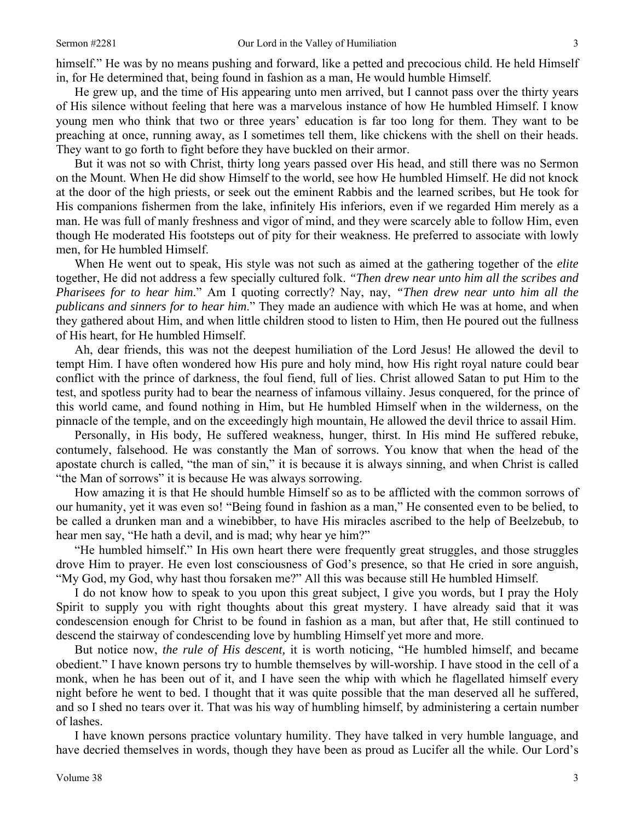himself." He was by no means pushing and forward, like a petted and precocious child. He held Himself in, for He determined that, being found in fashion as a man, He would humble Himself.

He grew up, and the time of His appearing unto men arrived, but I cannot pass over the thirty years of His silence without feeling that here was a marvelous instance of how He humbled Himself. I know young men who think that two or three years' education is far too long for them. They want to be preaching at once, running away, as I sometimes tell them, like chickens with the shell on their heads. They want to go forth to fight before they have buckled on their armor.

But it was not so with Christ, thirty long years passed over His head, and still there was no Sermon on the Mount. When He did show Himself to the world, see how He humbled Himself. He did not knock at the door of the high priests, or seek out the eminent Rabbis and the learned scribes, but He took for His companions fishermen from the lake, infinitely His inferiors, even if we regarded Him merely as a man. He was full of manly freshness and vigor of mind, and they were scarcely able to follow Him, even though He moderated His footsteps out of pity for their weakness. He preferred to associate with lowly men, for He humbled Himself.

When He went out to speak, His style was not such as aimed at the gathering together of the *elite* together, He did not address a few specially cultured folk. *"Then drew near unto him all the scribes and Pharisees for to hear him*." Am I quoting correctly? Nay, nay, *"Then drew near unto him all the publicans and sinners for to hear him*." They made an audience with which He was at home, and when they gathered about Him, and when little children stood to listen to Him, then He poured out the fullness of His heart, for He humbled Himself.

Ah, dear friends, this was not the deepest humiliation of the Lord Jesus! He allowed the devil to tempt Him. I have often wondered how His pure and holy mind, how His right royal nature could bear conflict with the prince of darkness, the foul fiend, full of lies. Christ allowed Satan to put Him to the test, and spotless purity had to bear the nearness of infamous villainy. Jesus conquered, for the prince of this world came, and found nothing in Him, but He humbled Himself when in the wilderness, on the pinnacle of the temple, and on the exceedingly high mountain, He allowed the devil thrice to assail Him.

Personally, in His body, He suffered weakness, hunger, thirst. In His mind He suffered rebuke, contumely, falsehood. He was constantly the Man of sorrows. You know that when the head of the apostate church is called, "the man of sin," it is because it is always sinning, and when Christ is called "the Man of sorrows" it is because He was always sorrowing.

How amazing it is that He should humble Himself so as to be afflicted with the common sorrows of our humanity, yet it was even so! "Being found in fashion as a man," He consented even to be belied, to be called a drunken man and a winebibber, to have His miracles ascribed to the help of Beelzebub, to hear men say, "He hath a devil, and is mad; why hear ye him?"

"He humbled himself." In His own heart there were frequently great struggles, and those struggles drove Him to prayer. He even lost consciousness of God's presence, so that He cried in sore anguish, "My God, my God, why hast thou forsaken me?" All this was because still He humbled Himself.

I do not know how to speak to you upon this great subject, I give you words, but I pray the Holy Spirit to supply you with right thoughts about this great mystery. I have already said that it was condescension enough for Christ to be found in fashion as a man, but after that, He still continued to descend the stairway of condescending love by humbling Himself yet more and more.

But notice now, *the rule of His descent,* it is worth noticing, "He humbled himself, and became obedient." I have known persons try to humble themselves by will-worship. I have stood in the cell of a monk, when he has been out of it, and I have seen the whip with which he flagellated himself every night before he went to bed. I thought that it was quite possible that the man deserved all he suffered, and so I shed no tears over it. That was his way of humbling himself, by administering a certain number of lashes.

I have known persons practice voluntary humility. They have talked in very humble language, and have decried themselves in words, though they have been as proud as Lucifer all the while. Our Lord's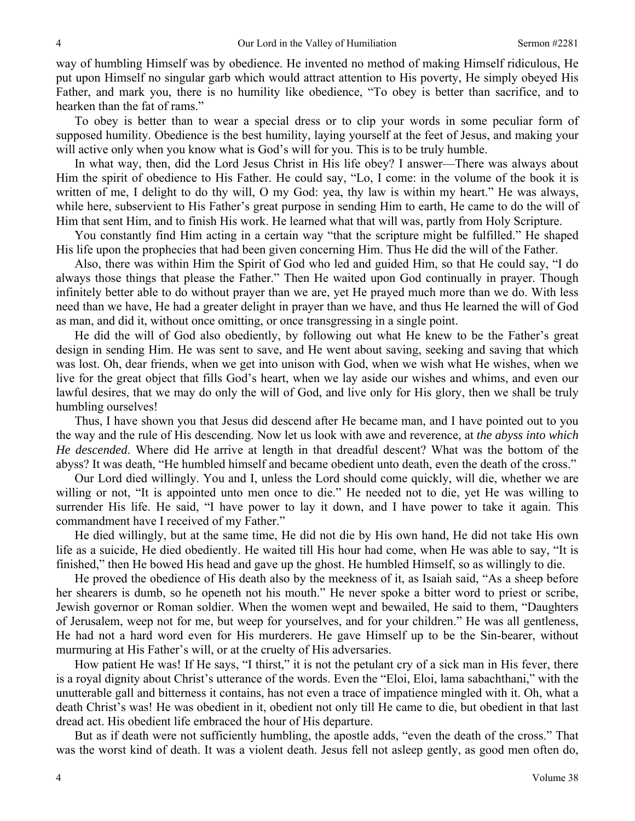way of humbling Himself was by obedience. He invented no method of making Himself ridiculous, He put upon Himself no singular garb which would attract attention to His poverty, He simply obeyed His Father, and mark you, there is no humility like obedience, "To obey is better than sacrifice, and to hearken than the fat of rams."

To obey is better than to wear a special dress or to clip your words in some peculiar form of supposed humility. Obedience is the best humility, laying yourself at the feet of Jesus, and making your will active only when you know what is God's will for you. This is to be truly humble.

In what way, then, did the Lord Jesus Christ in His life obey? I answer—There was always about Him the spirit of obedience to His Father. He could say, "Lo, I come: in the volume of the book it is written of me, I delight to do thy will, O my God: yea, thy law is within my heart." He was always, while here, subservient to His Father's great purpose in sending Him to earth, He came to do the will of Him that sent Him, and to finish His work. He learned what that will was, partly from Holy Scripture.

You constantly find Him acting in a certain way "that the scripture might be fulfilled." He shaped His life upon the prophecies that had been given concerning Him. Thus He did the will of the Father.

Also, there was within Him the Spirit of God who led and guided Him, so that He could say, "I do always those things that please the Father." Then He waited upon God continually in prayer. Though infinitely better able to do without prayer than we are, yet He prayed much more than we do. With less need than we have, He had a greater delight in prayer than we have, and thus He learned the will of God as man, and did it, without once omitting, or once transgressing in a single point.

He did the will of God also obediently, by following out what He knew to be the Father's great design in sending Him. He was sent to save, and He went about saving, seeking and saving that which was lost. Oh, dear friends, when we get into unison with God, when we wish what He wishes, when we live for the great object that fills God's heart, when we lay aside our wishes and whims, and even our lawful desires, that we may do only the will of God, and live only for His glory, then we shall be truly humbling ourselves!

Thus, I have shown you that Jesus did descend after He became man, and I have pointed out to you the way and the rule of His descending. Now let us look with awe and reverence, at *the abyss into which He descended*. Where did He arrive at length in that dreadful descent? What was the bottom of the abyss? It was death, "He humbled himself and became obedient unto death, even the death of the cross."

Our Lord died willingly. You and I, unless the Lord should come quickly, will die, whether we are willing or not, "It is appointed unto men once to die." He needed not to die, yet He was willing to surrender His life. He said, "I have power to lay it down, and I have power to take it again. This commandment have I received of my Father."

He died willingly, but at the same time, He did not die by His own hand, He did not take His own life as a suicide, He died obediently. He waited till His hour had come, when He was able to say, "It is finished," then He bowed His head and gave up the ghost. He humbled Himself, so as willingly to die.

He proved the obedience of His death also by the meekness of it, as Isaiah said, "As a sheep before her shearers is dumb, so he openeth not his mouth." He never spoke a bitter word to priest or scribe, Jewish governor or Roman soldier. When the women wept and bewailed, He said to them, "Daughters of Jerusalem, weep not for me, but weep for yourselves, and for your children." He was all gentleness, He had not a hard word even for His murderers. He gave Himself up to be the Sin-bearer, without murmuring at His Father's will, or at the cruelty of His adversaries.

How patient He was! If He says, "I thirst," it is not the petulant cry of a sick man in His fever, there is a royal dignity about Christ's utterance of the words. Even the "Eloi, Eloi, lama sabachthani," with the unutterable gall and bitterness it contains, has not even a trace of impatience mingled with it. Oh, what a death Christ's was! He was obedient in it, obedient not only till He came to die, but obedient in that last dread act. His obedient life embraced the hour of His departure.

But as if death were not sufficiently humbling, the apostle adds, "even the death of the cross." That was the worst kind of death. It was a violent death. Jesus fell not asleep gently, as good men often do,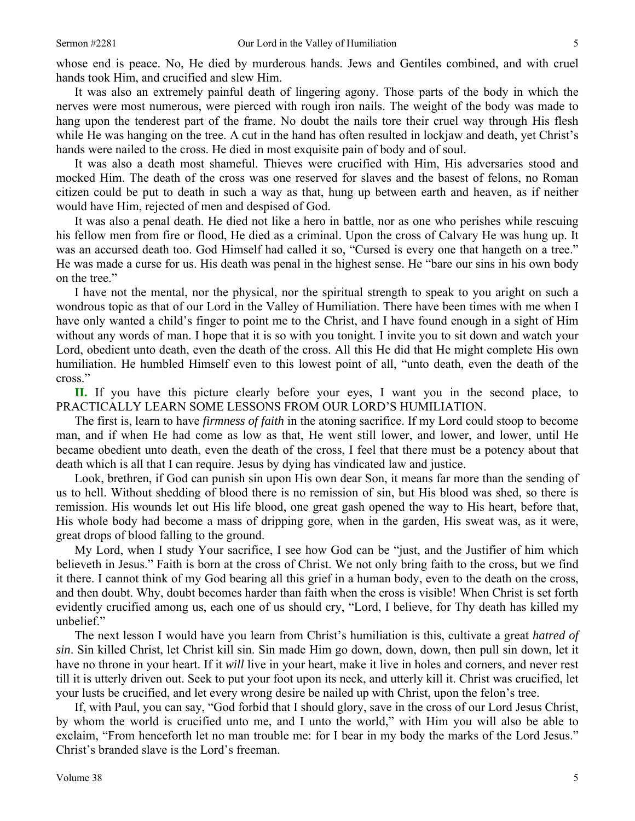It was also an extremely painful death of lingering agony. Those parts of the body in which the nerves were most numerous, were pierced with rough iron nails. The weight of the body was made to hang upon the tenderest part of the frame. No doubt the nails tore their cruel way through His flesh while He was hanging on the tree. A cut in the hand has often resulted in lockjaw and death, yet Christ's hands were nailed to the cross. He died in most exquisite pain of body and of soul.

It was also a death most shameful. Thieves were crucified with Him, His adversaries stood and mocked Him. The death of the cross was one reserved for slaves and the basest of felons, no Roman citizen could be put to death in such a way as that, hung up between earth and heaven, as if neither would have Him, rejected of men and despised of God.

It was also a penal death. He died not like a hero in battle, nor as one who perishes while rescuing his fellow men from fire or flood, He died as a criminal. Upon the cross of Calvary He was hung up. It was an accursed death too. God Himself had called it so, "Cursed is every one that hangeth on a tree." He was made a curse for us. His death was penal in the highest sense. He "bare our sins in his own body on the tree."

I have not the mental, nor the physical, nor the spiritual strength to speak to you aright on such a wondrous topic as that of our Lord in the Valley of Humiliation. There have been times with me when I have only wanted a child's finger to point me to the Christ, and I have found enough in a sight of Him without any words of man. I hope that it is so with you tonight. I invite you to sit down and watch your Lord, obedient unto death, even the death of the cross. All this He did that He might complete His own humiliation. He humbled Himself even to this lowest point of all, "unto death, even the death of the cross."

**II.** If you have this picture clearly before your eyes, I want you in the second place, to PRACTICALLY LEARN SOME LESSONS FROM OUR LORD'S HUMILIATION.

The first is, learn to have *firmness of faith* in the atoning sacrifice. If my Lord could stoop to become man, and if when He had come as low as that, He went still lower, and lower, and lower, until He became obedient unto death, even the death of the cross, I feel that there must be a potency about that death which is all that I can require. Jesus by dying has vindicated law and justice.

Look, brethren, if God can punish sin upon His own dear Son, it means far more than the sending of us to hell. Without shedding of blood there is no remission of sin, but His blood was shed, so there is remission. His wounds let out His life blood, one great gash opened the way to His heart, before that, His whole body had become a mass of dripping gore, when in the garden, His sweat was, as it were, great drops of blood falling to the ground.

My Lord, when I study Your sacrifice, I see how God can be "just, and the Justifier of him which believeth in Jesus." Faith is born at the cross of Christ. We not only bring faith to the cross, but we find it there. I cannot think of my God bearing all this grief in a human body, even to the death on the cross, and then doubt. Why, doubt becomes harder than faith when the cross is visible! When Christ is set forth evidently crucified among us, each one of us should cry, "Lord, I believe, for Thy death has killed my unbelief."

The next lesson I would have you learn from Christ's humiliation is this, cultivate a great *hatred of sin*. Sin killed Christ, let Christ kill sin. Sin made Him go down, down, down, then pull sin down, let it have no throne in your heart. If it *will* live in your heart, make it live in holes and corners, and never rest till it is utterly driven out. Seek to put your foot upon its neck, and utterly kill it. Christ was crucified, let your lusts be crucified, and let every wrong desire be nailed up with Christ, upon the felon's tree.

If, with Paul, you can say, "God forbid that I should glory, save in the cross of our Lord Jesus Christ, by whom the world is crucified unto me, and I unto the world," with Him you will also be able to exclaim, "From henceforth let no man trouble me: for I bear in my body the marks of the Lord Jesus." Christ's branded slave is the Lord's freeman.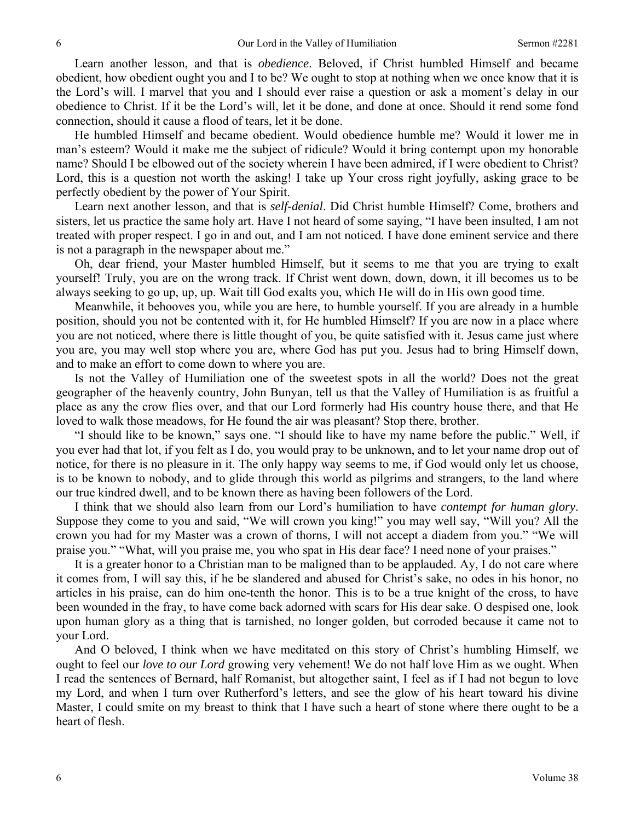Learn another lesson, and that is *obedience*. Beloved, if Christ humbled Himself and became obedient, how obedient ought you and I to be? We ought to stop at nothing when we once know that it is the Lord's will. I marvel that you and I should ever raise a question or ask a moment's delay in our obedience to Christ. If it be the Lord's will, let it be done, and done at once. Should it rend some fond connection, should it cause a flood of tears, let it be done.

He humbled Himself and became obedient. Would obedience humble me? Would it lower me in man's esteem? Would it make me the subject of ridicule? Would it bring contempt upon my honorable name? Should I be elbowed out of the society wherein I have been admired, if I were obedient to Christ? Lord, this is a question not worth the asking! I take up Your cross right joyfully, asking grace to be perfectly obedient by the power of Your Spirit.

Learn next another lesson, and that is *self-denial*. Did Christ humble Himself? Come, brothers and sisters, let us practice the same holy art. Have I not heard of some saying, "I have been insulted, I am not treated with proper respect. I go in and out, and I am not noticed. I have done eminent service and there is not a paragraph in the newspaper about me."

Oh, dear friend, your Master humbled Himself, but it seems to me that you are trying to exalt yourself! Truly, you are on the wrong track. If Christ went down, down, down, it ill becomes us to be always seeking to go up, up, up. Wait till God exalts you, which He will do in His own good time.

Meanwhile, it behooves you, while you are here, to humble yourself. If you are already in a humble position, should you not be contented with it, for He humbled Himself? If you are now in a place where you are not noticed, where there is little thought of you, be quite satisfied with it. Jesus came just where you are, you may well stop where you are, where God has put you. Jesus had to bring Himself down, and to make an effort to come down to where you are.

Is not the Valley of Humiliation one of the sweetest spots in all the world? Does not the great geographer of the heavenly country, John Bunyan, tell us that the Valley of Humiliation is as fruitful a place as any the crow flies over, and that our Lord formerly had His country house there, and that He loved to walk those meadows, for He found the air was pleasant? Stop there, brother.

"I should like to be known," says one. "I should like to have my name before the public." Well, if you ever had that lot, if you felt as I do, you would pray to be unknown, and to let your name drop out of notice, for there is no pleasure in it. The only happy way seems to me, if God would only let us choose, is to be known to nobody, and to glide through this world as pilgrims and strangers, to the land where our true kindred dwell, and to be known there as having been followers of the Lord.

I think that we should also learn from our Lord's humiliation to have *contempt for human glory*. Suppose they come to you and said, "We will crown you king!" you may well say, "Will you? All the crown you had for my Master was a crown of thorns, I will not accept a diadem from you." "We will praise you." "What, will you praise me, you who spat in His dear face? I need none of your praises."

It is a greater honor to a Christian man to be maligned than to be applauded. Ay, I do not care where it comes from, I will say this, if he be slandered and abused for Christ's sake, no odes in his honor, no articles in his praise, can do him one-tenth the honor. This is to be a true knight of the cross, to have been wounded in the fray, to have come back adorned with scars for His dear sake. O despised one, look upon human glory as a thing that is tarnished, no longer golden, but corroded because it came not to your Lord.

And O beloved, I think when we have meditated on this story of Christ's humbling Himself, we ought to feel our *love to our Lord* growing very vehement! We do not half love Him as we ought. When I read the sentences of Bernard, half Romanist, but altogether saint, I feel as if I had not begun to love my Lord, and when I turn over Rutherford's letters, and see the glow of his heart toward his divine Master, I could smite on my breast to think that I have such a heart of stone where there ought to be a heart of flesh.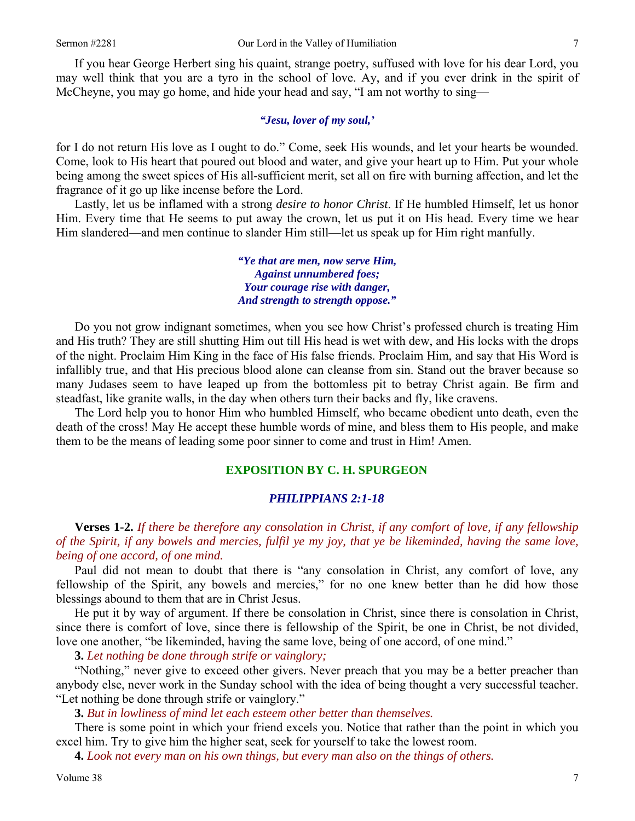If you hear George Herbert sing his quaint, strange poetry, suffused with love for his dear Lord, you may well think that you are a tyro in the school of love. Ay, and if you ever drink in the spirit of McCheyne, you may go home, and hide your head and say, "I am not worthy to sing—

#### *"Jesu, lover of my soul,'*

for I do not return His love as I ought to do." Come, seek His wounds, and let your hearts be wounded. Come, look to His heart that poured out blood and water, and give your heart up to Him. Put your whole being among the sweet spices of His all-sufficient merit, set all on fire with burning affection, and let the fragrance of it go up like incense before the Lord.

Lastly, let us be inflamed with a strong *desire to honor Christ*. If He humbled Himself, let us honor Him. Every time that He seems to put away the crown, let us put it on His head. Every time we hear Him slandered—and men continue to slander Him still—let us speak up for Him right manfully.

> *"Ye that are men, now serve Him, Against unnumbered foes; Your courage rise with danger, And strength to strength oppose."*

Do you not grow indignant sometimes, when you see how Christ's professed church is treating Him and His truth? They are still shutting Him out till His head is wet with dew, and His locks with the drops of the night. Proclaim Him King in the face of His false friends. Proclaim Him, and say that His Word is infallibly true, and that His precious blood alone can cleanse from sin. Stand out the braver because so many Judases seem to have leaped up from the bottomless pit to betray Christ again. Be firm and steadfast, like granite walls, in the day when others turn their backs and fly, like cravens.

The Lord help you to honor Him who humbled Himself, who became obedient unto death, even the death of the cross! May He accept these humble words of mine, and bless them to His people, and make them to be the means of leading some poor sinner to come and trust in Him! Amen.

#### **EXPOSITION BY C. H. SPURGEON**

#### *PHILIPPIANS 2:1-18*

**Verses 1-2.** *If there be therefore any consolation in Christ, if any comfort of love, if any fellowship of the Spirit, if any bowels and mercies, fulfil ye my joy, that ye be likeminded, having the same love, being of one accord, of one mind.* 

Paul did not mean to doubt that there is "any consolation in Christ, any comfort of love, any fellowship of the Spirit, any bowels and mercies," for no one knew better than he did how those blessings abound to them that are in Christ Jesus.

He put it by way of argument. If there be consolation in Christ, since there is consolation in Christ, since there is comfort of love, since there is fellowship of the Spirit, be one in Christ, be not divided, love one another, "be likeminded, having the same love, being of one accord, of one mind."

**3.** *Let nothing be done through strife or vainglory;*

"Nothing," never give to exceed other givers. Never preach that you may be a better preacher than anybody else, never work in the Sunday school with the idea of being thought a very successful teacher. "Let nothing be done through strife or vainglory."

#### **3.** *But in lowliness of mind let each esteem other better than themselves.*

There is some point in which your friend excels you. Notice that rather than the point in which you excel him. Try to give him the higher seat, seek for yourself to take the lowest room.

**4.** *Look not every man on his own things, but every man also on the things of others.*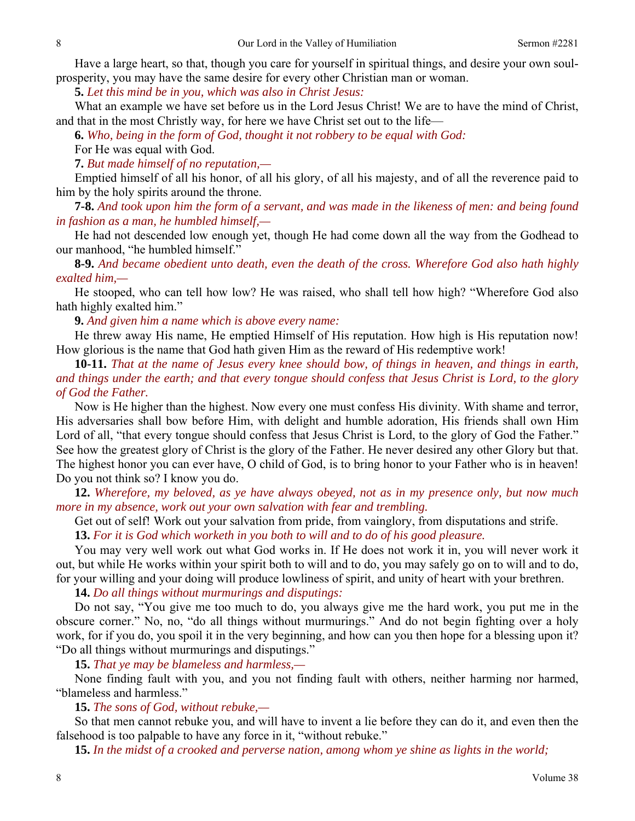Have a large heart, so that, though you care for yourself in spiritual things, and desire your own soulprosperity, you may have the same desire for every other Christian man or woman.

**5.** *Let this mind be in you, which was also in Christ Jesus:* 

What an example we have set before us in the Lord Jesus Christ! We are to have the mind of Christ, and that in the most Christly way, for here we have Christ set out to the life—

**6.** *Who, being in the form of God, thought it not robbery to be equal with God:* 

For He was equal with God.

**7.** *But made himself of no reputation,—* 

Emptied himself of all his honor, of all his glory, of all his majesty, and of all the reverence paid to him by the holy spirits around the throne.

**7-8.** *And took upon him the form of a servant, and was made in the likeness of men: and being found in fashion as a man, he humbled himself,—* 

He had not descended low enough yet, though He had come down all the way from the Godhead to our manhood, "he humbled himself."

**8-9.** *And became obedient unto death, even the death of the cross. Wherefore God also hath highly exalted him,—*

He stooped, who can tell how low? He was raised, who shall tell how high? "Wherefore God also hath highly exalted him."

**9.** *And given him a name which is above every name:* 

He threw away His name, He emptied Himself of His reputation. How high is His reputation now! How glorious is the name that God hath given Him as the reward of His redemptive work!

**10-11.** *That at the name of Jesus every knee should bow, of things in heaven, and things in earth, and things under the earth; and that every tongue should confess that Jesus Christ is Lord, to the glory of God the Father.* 

Now is He higher than the highest. Now every one must confess His divinity. With shame and terror, His adversaries shall bow before Him, with delight and humble adoration, His friends shall own Him Lord of all, "that every tongue should confess that Jesus Christ is Lord, to the glory of God the Father." See how the greatest glory of Christ is the glory of the Father. He never desired any other Glory but that. The highest honor you can ever have, O child of God, is to bring honor to your Father who is in heaven! Do you not think so? I know you do.

**12.** *Wherefore, my beloved, as ye have always obeyed, not as in my presence only, but now much more in my absence, work out your own salvation with fear and trembling.* 

Get out of self! Work out your salvation from pride, from vainglory, from disputations and strife.

**13.** *For it is God which worketh in you both to will and to do of his good pleasure.* 

You may very well work out what God works in. If He does not work it in, you will never work it out, but while He works within your spirit both to will and to do, you may safely go on to will and to do, for your willing and your doing will produce lowliness of spirit, and unity of heart with your brethren.

**14.** *Do all things without murmurings and disputings:* 

Do not say, "You give me too much to do, you always give me the hard work, you put me in the obscure corner." No, no, "do all things without murmurings." And do not begin fighting over a holy work, for if you do, you spoil it in the very beginning, and how can you then hope for a blessing upon it? "Do all things without murmurings and disputings."

**15.** *That ye may be blameless and harmless,—* 

None finding fault with you, and you not finding fault with others, neither harming nor harmed, "blameless and harmless."

**15.** *The sons of God, without rebuke,—* 

So that men cannot rebuke you, and will have to invent a lie before they can do it, and even then the falsehood is too palpable to have any force in it, "without rebuke."

**15.** *In the midst of a crooked and perverse nation, among whom ye shine as lights in the world;*